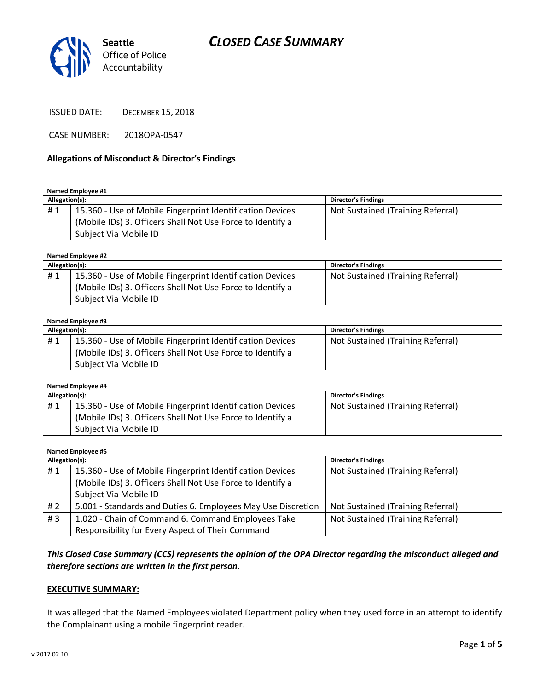## *CLOSED CASE SUMMARY*



ISSUED DATE: DECEMBER 15, 2018

CASE NUMBER: 2018OPA-0547

#### **Allegations of Misconduct & Director's Findings**

**Named Employee #1**

| Allegation(s): |                                                            | <b>Director's Findings</b>        |
|----------------|------------------------------------------------------------|-----------------------------------|
| #1             | 15.360 - Use of Mobile Fingerprint Identification Devices  | Not Sustained (Training Referral) |
|                | (Mobile IDs) 3. Officers Shall Not Use Force to Identify a |                                   |
|                | Subject Via Mobile ID                                      |                                   |

**Named Employee #2**

| Allegation(s): |                                                            | <b>Director's Findings</b>        |
|----------------|------------------------------------------------------------|-----------------------------------|
| #1             | 15.360 - Use of Mobile Fingerprint Identification Devices  | Not Sustained (Training Referral) |
|                | (Mobile IDs) 3. Officers Shall Not Use Force to Identify a |                                   |
|                | Subject Via Mobile ID                                      |                                   |

#### **Named Employee #3**

| Allegation(s): |                                                            | <b>Director's Findings</b>        |
|----------------|------------------------------------------------------------|-----------------------------------|
| #1             | 15.360 - Use of Mobile Fingerprint Identification Devices  | Not Sustained (Training Referral) |
|                | (Mobile IDs) 3. Officers Shall Not Use Force to Identify a |                                   |
|                | Subject Via Mobile ID                                      |                                   |

| Named Employee #4 |                                                            |                                   |  |  |
|-------------------|------------------------------------------------------------|-----------------------------------|--|--|
| Allegation(s):    |                                                            | <b>Director's Findings</b>        |  |  |
| #1                | 15.360 - Use of Mobile Fingerprint Identification Devices  | Not Sustained (Training Referral) |  |  |
|                   | (Mobile IDs) 3. Officers Shall Not Use Force to Identify a |                                   |  |  |
|                   | Subject Via Mobile ID                                      |                                   |  |  |

**Named Employee #5**

| Allegation(s): |                                                              | <b>Director's Findings</b>        |
|----------------|--------------------------------------------------------------|-----------------------------------|
| #1             | 15.360 - Use of Mobile Fingerprint Identification Devices    | Not Sustained (Training Referral) |
|                | (Mobile IDs) 3. Officers Shall Not Use Force to Identify a   |                                   |
|                | Subject Via Mobile ID                                        |                                   |
| # 2            | 5.001 - Standards and Duties 6. Employees May Use Discretion | Not Sustained (Training Referral) |
| #3             | 1.020 - Chain of Command 6. Command Employees Take           | Not Sustained (Training Referral) |
|                | Responsibility for Every Aspect of Their Command             |                                   |

*This Closed Case Summary (CCS) represents the opinion of the OPA Director regarding the misconduct alleged and therefore sections are written in the first person.* 

#### **EXECUTIVE SUMMARY:**

It was alleged that the Named Employees violated Department policy when they used force in an attempt to identify the Complainant using a mobile fingerprint reader.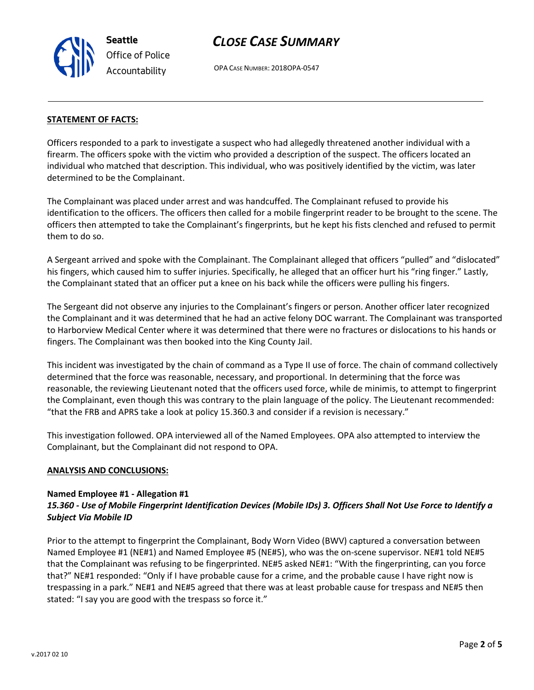v.2017 02 10

**Seattle** *Office of Police Accountability*

## *CLOSE CASE SUMMARY*

OPA CASE NUMBER: 2018OPA-0547

### **STATEMENT OF FACTS:**

Officers responded to a park to investigate a suspect who had allegedly threatened another individual with a firearm. The officers spoke with the victim who provided a description of the suspect. The officers located an individual who matched that description. This individual, who was positively identified by the victim, was later determined to be the Complainant.

The Complainant was placed under arrest and was handcuffed. The Complainant refused to provide his identification to the officers. The officers then called for a mobile fingerprint reader to be brought to the scene. The officers then attempted to take the Complainant's fingerprints, but he kept his fists clenched and refused to permit them to do so.

A Sergeant arrived and spoke with the Complainant. The Complainant alleged that officers "pulled" and "dislocated" his fingers, which caused him to suffer injuries. Specifically, he alleged that an officer hurt his "ring finger." Lastly, the Complainant stated that an officer put a knee on his back while the officers were pulling his fingers.

The Sergeant did not observe any injuries to the Complainant's fingers or person. Another officer later recognized the Complainant and it was determined that he had an active felony DOC warrant. The Complainant was transported to Harborview Medical Center where it was determined that there were no fractures or dislocations to his hands or fingers. The Complainant was then booked into the King County Jail.

This incident was investigated by the chain of command as a Type II use of force. The chain of command collectively determined that the force was reasonable, necessary, and proportional. In determining that the force was reasonable, the reviewing Lieutenant noted that the officers used force, while de minimis, to attempt to fingerprint the Complainant, even though this was contrary to the plain language of the policy. The Lieutenant recommended: "that the FRB and APRS take a look at policy 15.360.3 and consider if a revision is necessary."

This investigation followed. OPA interviewed all of the Named Employees. OPA also attempted to interview the Complainant, but the Complainant did not respond to OPA.

### **ANALYSIS AND CONCLUSIONS:**

### **Named Employee #1 - Allegation #1**

### *15.360 - Use of Mobile Fingerprint Identification Devices (Mobile IDs) 3. Officers Shall Not Use Force to Identify a Subject Via Mobile ID*

Prior to the attempt to fingerprint the Complainant, Body Worn Video (BWV) captured a conversation between Named Employee #1 (NE#1) and Named Employee #5 (NE#5), who was the on-scene supervisor. NE#1 told NE#5 that the Complainant was refusing to be fingerprinted. NE#5 asked NE#1: "With the fingerprinting, can you force that?" NE#1 responded: "Only if I have probable cause for a crime, and the probable cause I have right now is trespassing in a park." NE#1 and NE#5 agreed that there was at least probable cause for trespass and NE#5 then stated: "I say you are good with the trespass so force it."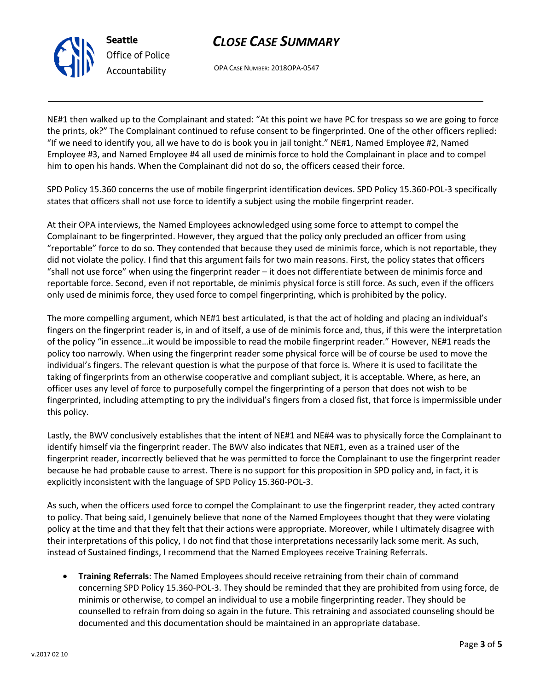# *CLOSE CASE SUMMARY*

OPA CASE NUMBER: 2018OPA-0547

**Seattle**

*Office of Police Accountability*

NE#1 then walked up to the Complainant and stated: "At this point we have PC for trespass so we are going to force the prints, ok?" The Complainant continued to refuse consent to be fingerprinted. One of the other officers replied: "If we need to identify you, all we have to do is book you in jail tonight." NE#1, Named Employee #2, Named Employee #3, and Named Employee #4 all used de minimis force to hold the Complainant in place and to compel him to open his hands. When the Complainant did not do so, the officers ceased their force.

SPD Policy 15.360 concerns the use of mobile fingerprint identification devices. SPD Policy 15.360-POL-3 specifically states that officers shall not use force to identify a subject using the mobile fingerprint reader.

At their OPA interviews, the Named Employees acknowledged using some force to attempt to compel the Complainant to be fingerprinted. However, they argued that the policy only precluded an officer from using "reportable" force to do so. They contended that because they used de minimis force, which is not reportable, they did not violate the policy. I find that this argument fails for two main reasons. First, the policy states that officers "shall not use force" when using the fingerprint reader – it does not differentiate between de minimis force and reportable force. Second, even if not reportable, de minimis physical force is still force. As such, even if the officers only used de minimis force, they used force to compel fingerprinting, which is prohibited by the policy.

The more compelling argument, which NE#1 best articulated, is that the act of holding and placing an individual's fingers on the fingerprint reader is, in and of itself, a use of de minimis force and, thus, if this were the interpretation of the policy "in essence…it would be impossible to read the mobile fingerprint reader." However, NE#1 reads the policy too narrowly. When using the fingerprint reader some physical force will be of course be used to move the individual's fingers. The relevant question is what the purpose of that force is. Where it is used to facilitate the taking of fingerprints from an otherwise cooperative and compliant subject, it is acceptable. Where, as here, an officer uses any level of force to purposefully compel the fingerprinting of a person that does not wish to be fingerprinted, including attempting to pry the individual's fingers from a closed fist, that force is impermissible under this policy.

Lastly, the BWV conclusively establishes that the intent of NE#1 and NE#4 was to physically force the Complainant to identify himself via the fingerprint reader. The BWV also indicates that NE#1, even as a trained user of the fingerprint reader, incorrectly believed that he was permitted to force the Complainant to use the fingerprint reader because he had probable cause to arrest. There is no support for this proposition in SPD policy and, in fact, it is explicitly inconsistent with the language of SPD Policy 15.360-POL-3.

As such, when the officers used force to compel the Complainant to use the fingerprint reader, they acted contrary to policy. That being said, I genuinely believe that none of the Named Employees thought that they were violating policy at the time and that they felt that their actions were appropriate. Moreover, while I ultimately disagree with their interpretations of this policy, I do not find that those interpretations necessarily lack some merit. As such, instead of Sustained findings, I recommend that the Named Employees receive Training Referrals.

• **Training Referrals**: The Named Employees should receive retraining from their chain of command concerning SPD Policy 15.360-POL-3. They should be reminded that they are prohibited from using force, de minimis or otherwise, to compel an individual to use a mobile fingerprinting reader. They should be counselled to refrain from doing so again in the future. This retraining and associated counseling should be documented and this documentation should be maintained in an appropriate database.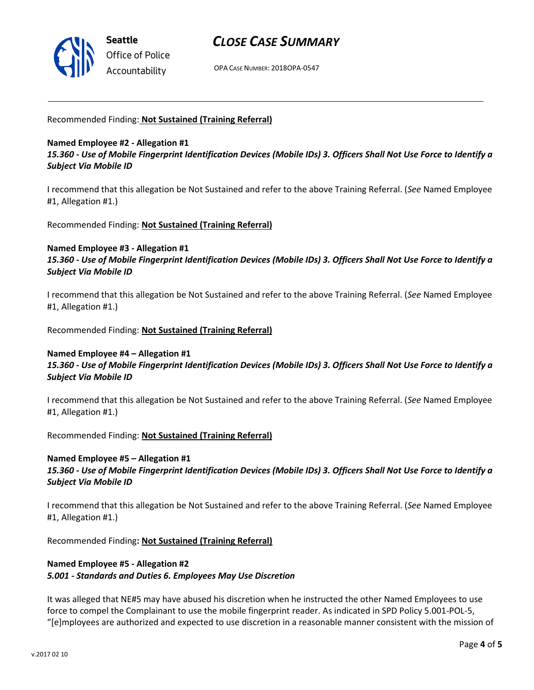

### *CLOSE CASE SUMMARY*

OPA CASE NUMBER: 2018OPA-0547

Recommended Finding: **Not Sustained (Training Referral)**

### **Named Employee #2 - Allegation #1** *15.360 - Use of Mobile Fingerprint Identification Devices (Mobile IDs) 3. Officers Shall Not Use Force to Identify a Subject Via Mobile ID*

I recommend that this allegation be Not Sustained and refer to the above Training Referral. (*See* Named Employee #1, Allegation #1.)

Recommended Finding: **Not Sustained (Training Referral)**

### **Named Employee #3 - Allegation #1**

*15.360 - Use of Mobile Fingerprint Identification Devices (Mobile IDs) 3. Officers Shall Not Use Force to Identify a Subject Via Mobile ID*

I recommend that this allegation be Not Sustained and refer to the above Training Referral. (*See* Named Employee #1, Allegation #1.)

Recommended Finding: **Not Sustained (Training Referral)**

#### **Named Employee #4 – Allegation #1** *15.360 - Use of Mobile Fingerprint Identification Devices (Mobile IDs) 3. Officers Shall Not Use Force to Identify a Subject Via Mobile ID*

I recommend that this allegation be Not Sustained and refer to the above Training Referral. (*See* Named Employee #1, Allegation #1.)

Recommended Finding: **Not Sustained (Training Referral)**

### **Named Employee #5 – Allegation #1** *15.360 - Use of Mobile Fingerprint Identification Devices (Mobile IDs) 3. Officers Shall Not Use Force to Identify a Subject Via Mobile ID*

I recommend that this allegation be Not Sustained and refer to the above Training Referral. (*See* Named Employee #1, Allegation #1.)

Recommended Finding**: Not Sustained (Training Referral)**

### **Named Employee #5 - Allegation #2** *5.001 - Standards and Duties 6. Employees May Use Discretion*

It was alleged that NE#5 may have abused his discretion when he instructed the other Named Employees to use force to compel the Complainant to use the mobile fingerprint reader. As indicated in SPD Policy 5.001-POL-5, "[e]mployees are authorized and expected to use discretion in a reasonable manner consistent with the mission of